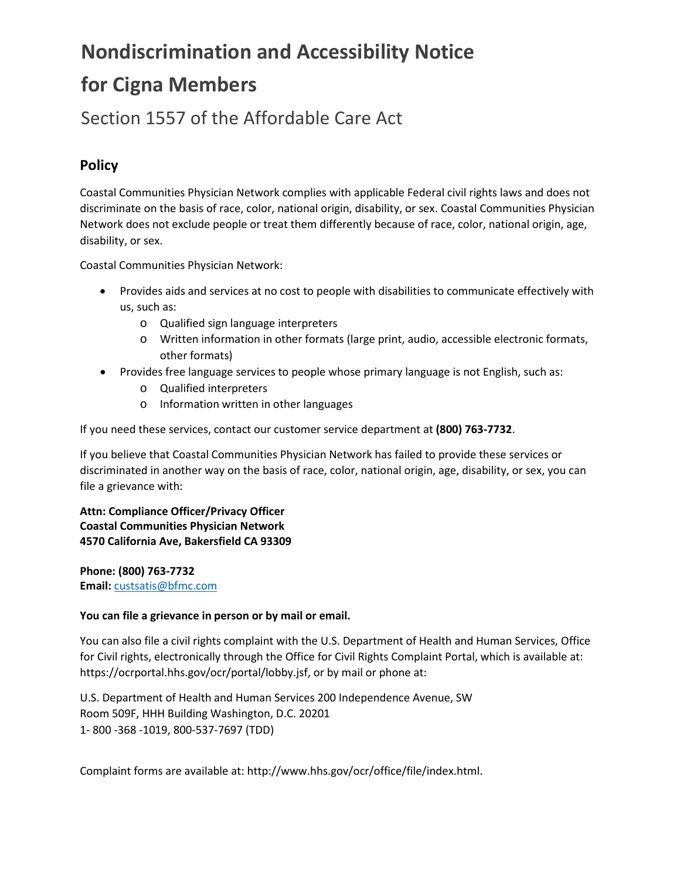# **Nondiscrimination and Accessibility Notice for Cigna Members**

### Section 1557 of the Affordable Care Act

#### **Policy**

Coastal Communities Physician Network complies with applicable Federal civil rights laws and does not discriminate on the basis of race, color, national origin, disability, or sex. Coastal Communities Physician Network does not exclude people or treat them differently because of race, color, national origin, age, disability, or sex.

Coastal Communities Physician Network:

- Provides aids and services at no cost to people with disabilities to communicate effectively with us, such as:
	- o Qualified sign language interpreters
	- o Written information in other formats (large print, audio, accessible electronic formats, other formats)
- Provides free language services to people whose primary language is not English, such as:
	- o Qualified interpreters
	- o Information written in other languages

If you need these services, contact our customer service department at **(800) 763-7732**.

If you believe that Coastal Communities Physician Network has failed to provide these services or discriminated in another way on the basis of race, color, national origin, age, disability, or sex, you can file a grievance with:

**Attn: Compliance Officer/Privacy Officer Coastal Communities Physician Network 4570 California Ave, Bakersfield CA 93309**

**Phone: (800) 763-7732 Email:** [custsatis@bfmc.com](mailto:custsatis@bfmc.com)

#### **You can file a grievance in person or by mail or email.**

You can also file a civil rights complaint with the U.S. Department of Health and Human Services, Office for Civil rights, electronically through the Office for Civil Rights Complaint Portal, which is available at: https://ocrportal.hhs.gov/ocr/portal/lobby.jsf, or by mail or phone at:

U.S. Department of Health and Human Services 200 Independence Avenue, SW Room 509F, HHH Building Washington, D.C. 20201 1- 800 -368 -1019, 800-537-7697 (TDD)

Complaint forms are available at: http://www.hhs.gov/ocr/office/file/index.html.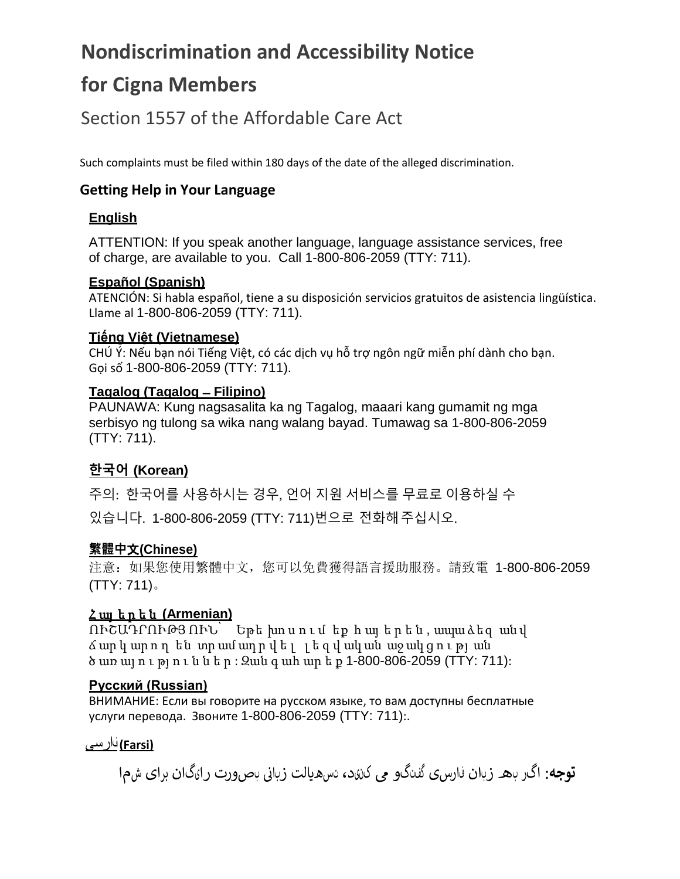## **Nondiscrimination and Accessibility Notice**

## **for Cigna Members**

### Section 1557 of the Affordable Care Act

Such complaints must be filed within 180 days of the date of the alleged discrimination.

#### **Getting Help in Your Language**

#### **English**

ATTENTION: If you speak another language, language assistance services, free of charge, are available to you. Call 1-800-806-2059 (TTY: 711).

#### **Español (Spanish)**

ATENCIÓN: Si habla español, tiene a su disposición servicios gratuitos de asistencia lingüística. Llame al 1-800-806-2059 (TTY: 711).

#### **Tiếng Việt (Vietnamese)**

CHÚ Ý: Nếu bạn nói Tiếng Việt, có các dịch vụ hỗ trợ ngôn ngữ miễn phí dành cho bạn. Gọi số 1-800-806-2059 (TTY: 711).

#### **Tagalog (Tagalog ̶Filipino)**

PAUNAWA: Kung nagsasalita ka ng Tagalog, maaari kang gumamit ng mga serbisyo ng tulong sa wika nang walang bayad. Tumawag sa 1-800-806-2059 (TTY: 711).

### **한국어 (Korean)**

주의: 한국어를 사용하시는 경우, 언어 지원 서비스를 무료로 이용하실 수 있습니다. 1-800-806-2059 (TTY: 711)번으로 전화해주십시오.

#### **繁體中**文**(Chinese)**

注意:如果您使用繁體中文,您可以免費獲得語言援助服務。請致電 1-800-806-2059 (TTY: 711)。

#### Հ այ ե ր ե ն **(Armenian)**

ՈՒՇԱԴՐՈՒԹՅ ՈՒՆ՝ Եթե խո ս ո ւ մ եք հ այ ե ր ե ն , ապա ձեզ ան վ ճ ար կ ար ո ղ են տր ամ ադ ր վ ե լ լ ե զ վ ակ ան աջ ակ ց ո ւ թյ ան ծ առ այ ո ւ թյ ո ւ ն ն ե ր : Զան գ ահ ար ե ք 1-800-806-2059 (TTY: 711):

#### **Русский (Russian)**

ВНИМАНИЕ: Если вы говорите на русском языке, то вам доступны бесплатные услуги перевода. Звоните 1-800-806-2059 (TTY: 711):.

#### **(Farsi (**فارسی

نبصورت رایگان برای شما **توجه**: اگر به زبان فارسی گفتگو � کنید، تسه�الت زبای